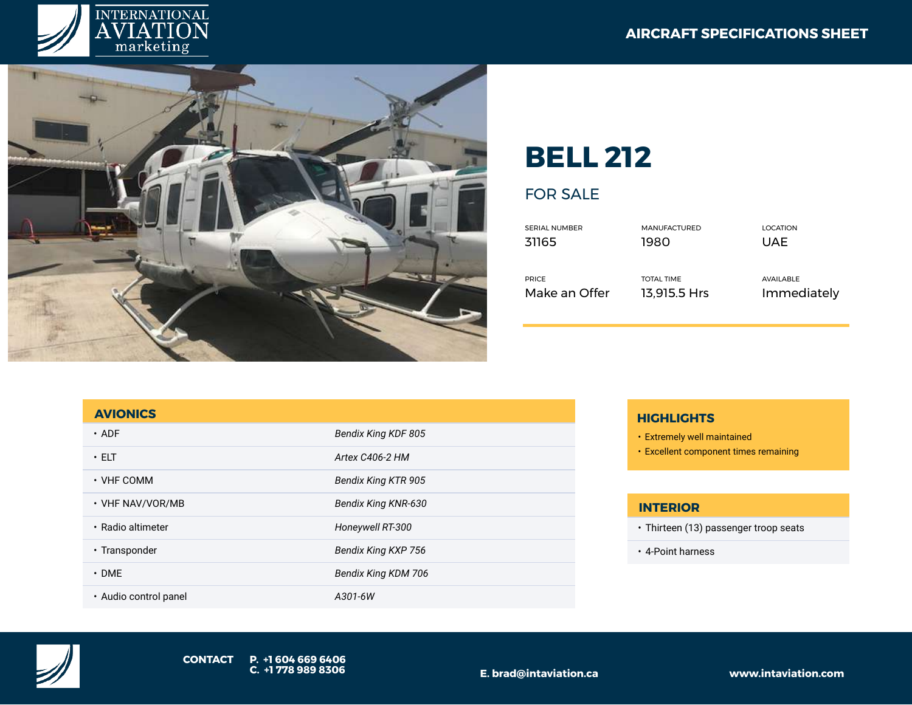



# **BELL 212**

# FOR SALE

| SERIAL NUMBER | <b>MANUFACTURED</b> | LOCATION    |
|---------------|---------------------|-------------|
| 31165         | 1980                | UAF         |
| <b>PRICE</b>  | <b>TOTAL TIME</b>   | AVAILABLE   |
| Make an Offer | 13.915.5 Hrs        | Immediately |

#### **AVIONICS**

| $\cdot$ ADF           | Bendix King KDF 805        |
|-----------------------|----------------------------|
| $\cdot$ ELT           | Artex C406-2 HM            |
| $\cdot$ VHF COMM      | <b>Bendix King KTR 905</b> |
| • VHF NAV/VOR/MB      | Bendix King KNR-630        |
| · Radio altimeter     | Honeywell RT-300           |
| • Transponder         | Bendix King KXP 756        |
| $\cdot$ DME           | Bendix King KDM 706        |
| · Audio control panel | A301-6W                    |

### **HIGHLIGHTS**

- Extremely well maintained
- Excellent component times remaining

#### **INTERIOR**

- Thirteen (13) passenger troop seats
- 4-Point harness